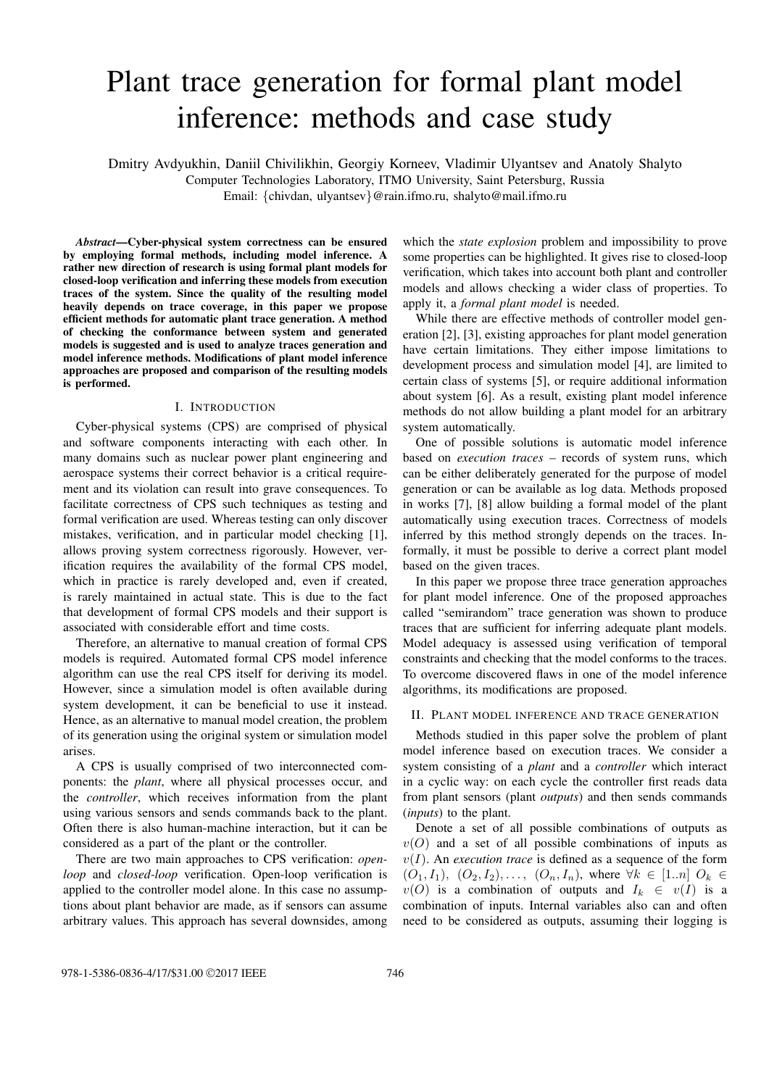# Plant trace generation for formal plant model inference: methods and case study

Dmitry Avdyukhin, Daniil Chivilikhin, Georgiy Korneev, Vladimir Ulyantsev and Anatoly Shalyto

Computer Technologies Laboratory, ITMO University, Saint Petersburg, Russia

Email: {chivdan, ulyantsev}@rain.ifmo.ru, shalyto@mail.ifmo.ru

*Abstract*—Cyber-physical system correctness can be ensured by employing formal methods, including model inference. A rather new direction of research is using formal plant models for closed-loop verification and inferring these models from execution traces of the system. Since the quality of the resulting model heavily depends on trace coverage, in this paper we propose efficient methods for automatic plant trace generation. A method of checking the conformance between system and generated models is suggested and is used to analyze traces generation and model inference methods. Modifications of plant model inference approaches are proposed and comparison of the resulting models is performed.

# I. INTRODUCTION

Cyber-physical systems (CPS) are comprised of physical and software components interacting with each other. In many domains such as nuclear power plant engineering and aerospace systems their correct behavior is a critical requirement and its violation can result into grave consequences. To facilitate correctness of CPS such techniques as testing and formal verification are used. Whereas testing can only discover mistakes, verification, and in particular model checking [1], allows proving system correctness rigorously. However, verification requires the availability of the formal CPS model, which in practice is rarely developed and, even if created, is rarely maintained in actual state. This is due to the fact that development of formal CPS models and their support is associated with considerable effort and time costs.

Therefore, an alternative to manual creation of formal CPS models is required. Automated formal CPS model inference algorithm can use the real CPS itself for deriving its model. However, since a simulation model is often available during system development, it can be beneficial to use it instead. Hence, as an alternative to manual model creation, the problem of its generation using the original system or simulation model arises.

A CPS is usually comprised of two interconnected components: the *plant*, where all physical processes occur, and the *controller*, which receives information from the plant using various sensors and sends commands back to the plant. Often there is also human-machine interaction, but it can be considered as a part of the plant or the controller.

There are two main approaches to CPS verification: *openloop* and *closed-loop* verification. Open-loop verification is applied to the controller model alone. In this case no assumptions about plant behavior are made, as if sensors can assume arbitrary values. This approach has several downsides, among

which the *state explosion* problem and impossibility to prove some properties can be highlighted. It gives rise to closed-loop verification, which takes into account both plant and controller models and allows checking a wider class of properties. To apply it, a *formal plant model* is needed.

While there are effective methods of controller model generation [2], [3], existing approaches for plant model generation have certain limitations. They either impose limitations to development process and simulation model [4], are limited to certain class of systems [5], or require additional information about system [6]. As a result, existing plant model inference methods do not allow building a plant model for an arbitrary system automatically.

One of possible solutions is automatic model inference based on *execution traces* – records of system runs, which can be either deliberately generated for the purpose of model generation or can be available as log data. Methods proposed in works [7], [8] allow building a formal model of the plant automatically using execution traces. Correctness of models inferred by this method strongly depends on the traces. Informally, it must be possible to derive a correct plant model based on the given traces.

In this paper we propose three trace generation approaches for plant model inference. One of the proposed approaches called "semirandom" trace generation was shown to produce traces that are sufficient for inferring adequate plant models. Model adequacy is assessed using verification of temporal constraints and checking that the model conforms to the traces. To overcome discovered flaws in one of the model inference algorithms, its modifications are proposed.

# II. PLANT MODEL INFERENCE AND TRACE GENERATION

Methods studied in this paper solve the problem of plant model inference based on execution traces. We consider a system consisting of a *plant* and a *controller* which interact in a cyclic way: on each cycle the controller first reads data from plant sensors (plant *outputs*) and then sends commands (*inputs*) to the plant.

Denote a set of all possible combinations of outputs as  $v(O)$  and a set of all possible combinations of inputs as  $v(I)$ . An *execution trace* is defined as a sequence of the form  $(O_1, I_1), (O_2, I_2), \ldots, (O_n, I_n)$ , where  $\forall k \in [1..n]$   $O_k \in$  $v(O)$  is a combination of outputs and  $I_k \in v(I)$  is a combination of inputs. Internal variables also can and often need to be considered as outputs, assuming their logging is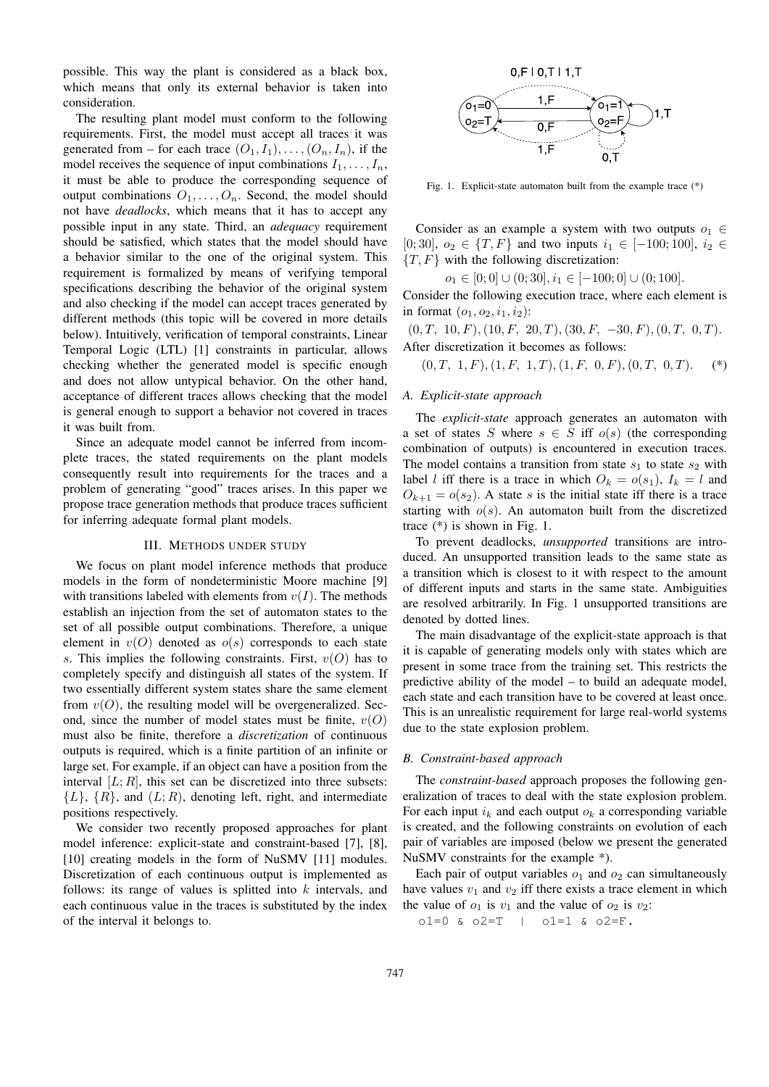possible. This way the plant is considered as a black box, which means that only its external behavior is taken into consideration.

The resulting plant model must conform to the following requirements. First, the model must accept all traces it was generated from – for each trace  $(O_1, I_1), \ldots, (O_n, I_n)$ , if the model receives the sequence of input combinations  $I_1, \ldots, I_n$ , it must be able to produce the corresponding sequence of output combinations  $O_1, \ldots, O_n$ . Second, the model should not have *deadlocks*, which means that it has to accept any possible input in any state. Third, an *adequacy* requirement should be satisfied, which states that the model should have a behavior similar to the one of the original system. This requirement is formalized by means of verifying temporal specifications describing the behavior of the original system and also checking if the model can accept traces generated by different methods (this topic will be covered in more details below). Intuitively, verification of temporal constraints, Linear Temporal Logic (LTL) [1] constraints in particular, allows checking whether the generated model is specific enough and does not allow untypical behavior. On the other hand, acceptance of different traces allows checking that the model is general enough to support a behavior not covered in traces it was built from.

Since an adequate model cannot be inferred from incomplete traces, the stated requirements on the plant models consequently result into requirements for the traces and a problem of generating "good" traces arises. In this paper we propose trace generation methods that produce traces sufficient for inferring adequate formal plant models.

## III. METHODS UNDER STUDY

We focus on plant model inference methods that produce models in the form of nondeterministic Moore machine [9] with transitions labeled with elements from  $v(I)$ . The methods establish an injection from the set of automaton states to the set of all possible output combinations. Therefore, a unique element in  $v(O)$  denoted as  $o(s)$  corresponds to each state s. This implies the following constraints. First,  $v(O)$  has to completely specify and distinguish all states of the system. If two essentially different system states share the same element from  $v(O)$ , the resulting model will be overgeneralized. Second, since the number of model states must be finite,  $v(O)$ must also be finite, therefore a *discretization* of continuous outputs is required, which is a finite partition of an infinite or large set. For example, if an object can have a position from the interval  $[L; R]$ , this set can be discretized into three subsets:  ${L}, {R},$  and  $(L; R)$ , denoting left, right, and intermediate positions respectively.

We consider two recently proposed approaches for plant model inference: explicit-state and constraint-based [7], [8], [10] creating models in the form of NuSMV [11] modules. Discretization of each continuous output is implemented as follows: its range of values is splitted into  $k$  intervals, and each continuous value in the traces is substituted by the index of the interval it belongs to.



Fig. 1. Explicit-state automaton built from the example trace (\*)

Consider as an example a system with two outputs  $o_1 \in$ [0; 30],  $o_2 \in \{T, F\}$  and two inputs  $i_1 \in [-100; 100]$ ,  $i_2 \in$  ${T, F}$  with the following discretization:

$$
o_1 \in [0;0] \cup (0;30], i_1 \in [-100;0] \cup (0;100].
$$

Consider the following execution trace, where each element is in format  $(o_1, o_2, i_1, i_2)$ :

 $(0, T, 10, F), (10, F, 20, T), (30, F, -30, F), (0, T, 0, T).$ After discretization it becomes as follows:

$$
(0, T, 1, F), (1, F, 1, T), (1, F, 0, F), (0, T, 0, T). \tag{*}
$$

# *A. Explicit-state approach*

The *explicit-state* approach generates an automaton with a set of states S where  $s \in S$  iff  $o(s)$  (the corresponding combination of outputs) is encountered in execution traces. The model contains a transition from state  $s_1$  to state  $s_2$  with label l iff there is a trace in which  $O_k = o(s_1)$ ,  $I_k = l$  and  $O_{k+1} = o(s_2)$ . A state s is the initial state iff there is a trace starting with  $o(s)$ . An automaton built from the discretized trace (\*) is shown in Fig. 1.

To prevent deadlocks, *unsupported* transitions are introduced. An unsupported transition leads to the same state as a transition which is closest to it with respect to the amount of different inputs and starts in the same state. Ambiguities are resolved arbitrarily. In Fig. 1 unsupported transitions are denoted by dotted lines.

The main disadvantage of the explicit-state approach is that it is capable of generating models only with states which are present in some trace from the training set. This restricts the predictive ability of the model – to build an adequate model, each state and each transition have to be covered at least once. This is an unrealistic requirement for large real-world systems due to the state explosion problem.

## *B. Constraint-based approach*

The *constraint-based* approach proposes the following generalization of traces to deal with the state explosion problem. For each input  $i_k$  and each output  $o_k$  a corresponding variable is created, and the following constraints on evolution of each pair of variables are imposed (below we present the generated NuSMV constraints for the example \*).

Each pair of output variables  $o_1$  and  $o_2$  can simultaneously have values  $v_1$  and  $v_2$  iff there exists a trace element in which the value of  $o_1$  is  $v_1$  and the value of  $o_2$  is  $v_2$ :

 $o1=0$  &  $o2=T$  |  $o1=1$  &  $o2=F$ .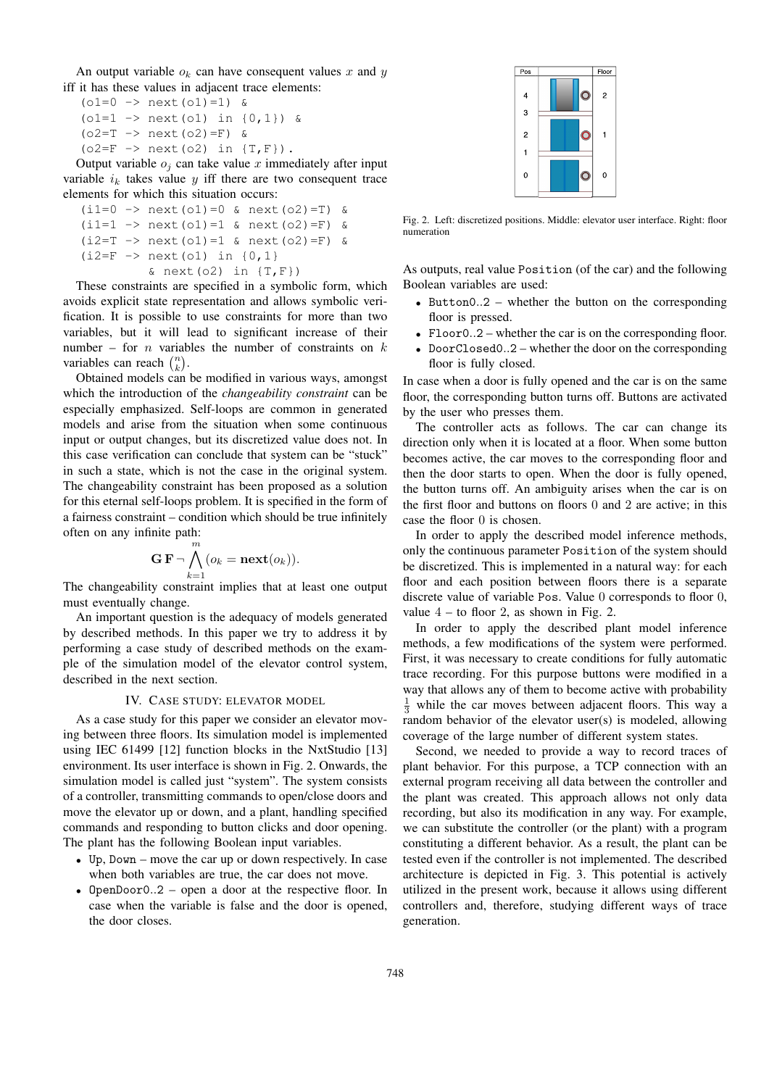An output variable  $o_k$  can have consequent values x and y iff it has these values in adjacent trace elements:

```
(01=0 \rightarrow next(01)=1) &
(01=1 \rightarrow next(01) in \{0,1\}) &
(o2=T \rightarrow next(o2)=F) &
(o2=F \rightarrow next(o2) in {T,F}).
```
Output variable  $o_i$  can take value x immediately after input variable  $i_k$  takes value y iff there are two consequent trace elements for which this situation occurs:

```
(i1=0 \rightarrow next(01)=0 \& next(02)=T) \&(i1=1 \rightarrow next(01)=1 \& next(02)=F) \&(i2=T \rightarrow next(01)=1 & next(o2)=F) &
(i2=F \rightarrow next(01) in {0,1}\& next (o2) in \{T, F\})
```
These constraints are specified in a symbolic form, which avoids explicit state representation and allows symbolic verification. It is possible to use constraints for more than two variables, but it will lead to significant increase of their number – for  $n$  variables the number of constraints on  $k$ variables can reach  $\binom{n}{k}$ .

Obtained models can be modified in various ways, amongst which the introduction of the *changeability constraint* can be especially emphasized. Self-loops are common in generated models and arise from the situation when some continuous input or output changes, but its discretized value does not. In this case verification can conclude that system can be "stuck" in such a state, which is not the case in the original system. The changeability constraint has been proposed as a solution for this eternal self-loops problem. It is specified in the form of a fairness constraint – condition which should be true infinitely often on any infinite path:

$$
\mathbf{G} \mathbf{F} \neg \bigwedge_{k=1}^{m} (o_k = \mathbf{next}(o_k)).
$$

The changeability constraint implies that at least one output must eventually change.

An important question is the adequacy of models generated by described methods. In this paper we try to address it by performing a case study of described methods on the example of the simulation model of the elevator control system, described in the next section.

# IV. CASE STUDY: ELEVATOR MODEL

As a case study for this paper we consider an elevator moving between three floors. Its simulation model is implemented using IEC 61499 [12] function blocks in the NxtStudio [13] environment. Its user interface is shown in Fig. 2. Onwards, the simulation model is called just "system". The system consists of a controller, transmitting commands to open/close doors and move the elevator up or down, and a plant, handling specified commands and responding to button clicks and door opening. The plant has the following Boolean input variables.

- Up, Down move the car up or down respectively. In case when both variables are true, the car does not move.
- OpenDoor0..2 open a door at the respective floor. In case when the variable is false and the door is opened, the door closes.



Fig. 2. Left: discretized positions. Middle: elevator user interface. Right: floor numeration

As outputs, real value Position (of the car) and the following Boolean variables are used:

- Button0..2 whether the button on the corresponding floor is pressed.
- Floor0..2 whether the car is on the corresponding floor.
- DoorClosed0..2 whether the door on the corresponding floor is fully closed.

In case when a door is fully opened and the car is on the same floor, the corresponding button turns off. Buttons are activated by the user who presses them.

The controller acts as follows. The car can change its direction only when it is located at a floor. When some button becomes active, the car moves to the corresponding floor and then the door starts to open. When the door is fully opened, the button turns off. An ambiguity arises when the car is on the first floor and buttons on floors 0 and 2 are active; in this case the floor 0 is chosen.

In order to apply the described model inference methods, only the continuous parameter Position of the system should be discretized. This is implemented in a natural way: for each floor and each position between floors there is a separate discrete value of variable Pos. Value 0 corresponds to floor 0, value  $4 -$  to floor 2, as shown in Fig. 2.

In order to apply the described plant model inference methods, a few modifications of the system were performed. First, it was necessary to create conditions for fully automatic trace recording. For this purpose buttons were modified in a way that allows any of them to become active with probability  $\frac{1}{3}$  while the car moves between adjacent floors. This way a random behavior of the elevator user(s) is modeled, allowing coverage of the large number of different system states.

Second, we needed to provide a way to record traces of plant behavior. For this purpose, a TCP connection with an external program receiving all data between the controller and the plant was created. This approach allows not only data recording, but also its modification in any way. For example, we can substitute the controller (or the plant) with a program constituting a different behavior. As a result, the plant can be tested even if the controller is not implemented. The described architecture is depicted in Fig. 3. This potential is actively utilized in the present work, because it allows using different controllers and, therefore, studying different ways of trace generation.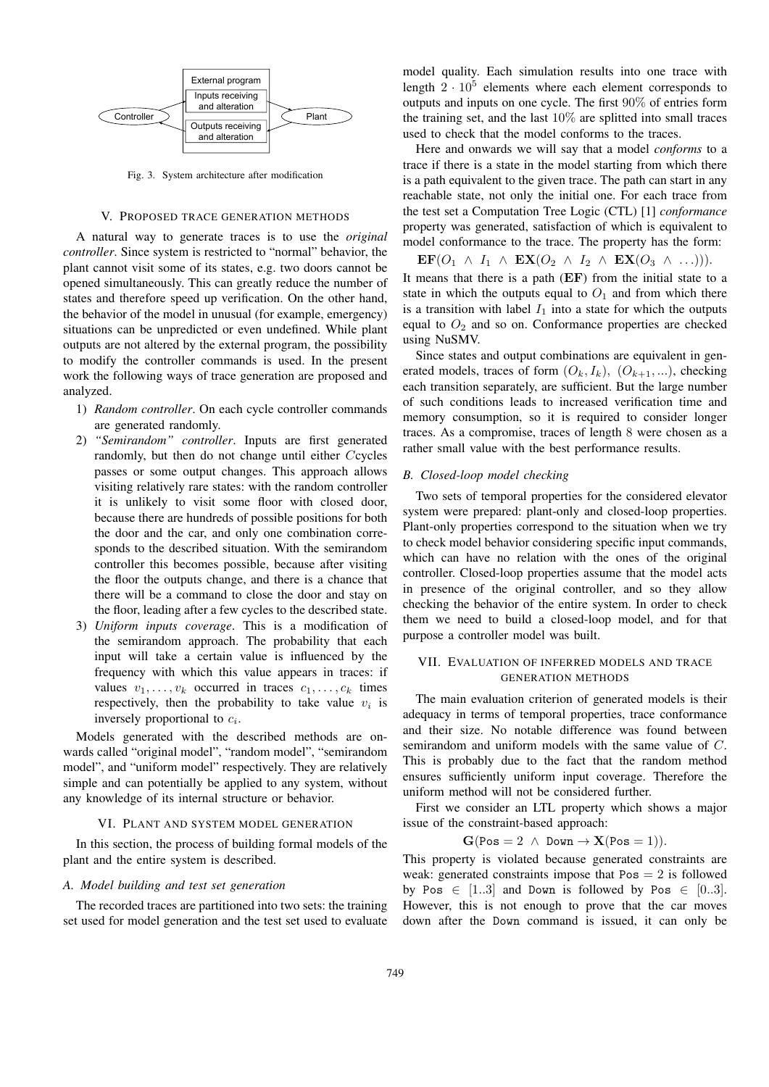

Fig. 3. System architecture after modification

## V. PROPOSED TRACE GENERATION METHODS

A natural way to generate traces is to use the *original controller*. Since system is restricted to "normal" behavior, the plant cannot visit some of its states, e.g. two doors cannot be opened simultaneously. This can greatly reduce the number of states and therefore speed up verification. On the other hand, the behavior of the model in unusual (for example, emergency) situations can be unpredicted or even undefined. While plant outputs are not altered by the external program, the possibility to modify the controller commands is used. In the present work the following ways of trace generation are proposed and analyzed.

- 1) *Random controller*. On each cycle controller commands are generated randomly.
- 2) *"Semirandom" controller*. Inputs are first generated randomly, but then do not change until either Ccycles passes or some output changes. This approach allows visiting relatively rare states: with the random controller it is unlikely to visit some floor with closed door, because there are hundreds of possible positions for both the door and the car, and only one combination corresponds to the described situation. With the semirandom controller this becomes possible, because after visiting the floor the outputs change, and there is a chance that there will be a command to close the door and stay on the floor, leading after a few cycles to the described state.
- 3) *Uniform inputs coverage*. This is a modification of the semirandom approach. The probability that each input will take a certain value is influenced by the frequency with which this value appears in traces: if values  $v_1, \ldots, v_k$  occurred in traces  $c_1, \ldots, c_k$  times respectively, then the probability to take value  $v_i$  is inversely proportional to  $c_i$ .

Models generated with the described methods are onwards called "original model", "random model", "semirandom model", and "uniform model" respectively. They are relatively simple and can potentially be applied to any system, without any knowledge of its internal structure or behavior.

## VI. PLANT AND SYSTEM MODEL GENERATION

In this section, the process of building formal models of the plant and the entire system is described.

# *A. Model building and test set generation*

The recorded traces are partitioned into two sets: the training set used for model generation and the test set used to evaluate model quality. Each simulation results into one trace with length  $2 \cdot 10^5$  elements where each element corresponds to outputs and inputs on one cycle. The first 90% of entries form the training set, and the last  $10\%$  are splitted into small traces used to check that the model conforms to the traces.

Here and onwards we will say that a model *conforms* to a trace if there is a state in the model starting from which there is a path equivalent to the given trace. The path can start in any reachable state, not only the initial one. For each trace from the test set a Computation Tree Logic (CTL) [1] *conformance* property was generated, satisfaction of which is equivalent to model conformance to the trace. The property has the form:

 $\mathbf{EF}(O_1 \wedge I_1 \wedge \mathbf{EX}(O_2 \wedge I_2 \wedge \mathbf{EX}(O_3 \wedge ...))).$ 

It means that there is a path (EF) from the initial state to a state in which the outputs equal to  $O_1$  and from which there is a transition with label  $I_1$  into a state for which the outputs equal to  $O_2$  and so on. Conformance properties are checked using NuSMV.

Since states and output combinations are equivalent in generated models, traces of form  $(O_k, I_k)$ ,  $(O_{k+1}, \ldots)$ , checking each transition separately, are sufficient. But the large number of such conditions leads to increased verification time and memory consumption, so it is required to consider longer traces. As a compromise, traces of length 8 were chosen as a rather small value with the best performance results.

# *B. Closed-loop model checking*

Two sets of temporal properties for the considered elevator system were prepared: plant-only and closed-loop properties. Plant-only properties correspond to the situation when we try to check model behavior considering specific input commands, which can have no relation with the ones of the original controller. Closed-loop properties assume that the model acts in presence of the original controller, and so they allow checking the behavior of the entire system. In order to check them we need to build a closed-loop model, and for that purpose a controller model was built.

# VII. EVALUATION OF INFERRED MODELS AND TRACE GENERATION METHODS

The main evaluation criterion of generated models is their adequacy in terms of temporal properties, trace conformance and their size. No notable difference was found between semirandom and uniform models with the same value of C. This is probably due to the fact that the random method ensures sufficiently uniform input coverage. Therefore the uniform method will not be considered further.

First we consider an LTL property which shows a major issue of the constraint-based approach:

$$
G(\text{Pos} = 2 \ \land \ \text{Down} \rightarrow X(\text{Pos} = 1)).
$$

This property is violated because generated constraints are weak: generated constraints impose that  $Pos = 2$  is followed by Pos  $\in$  [1..3] and Down is followed by Pos  $\in$  [0..3]. However, this is not enough to prove that the car moves down after the Down command is issued, it can only be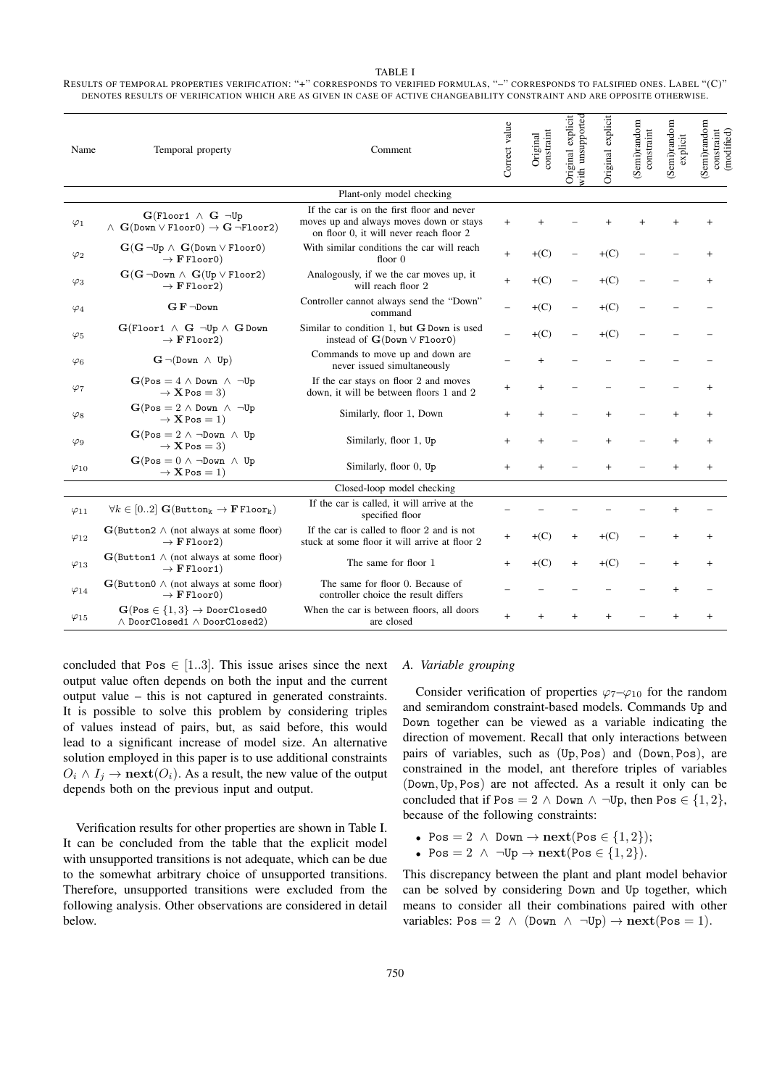#### TABLE I

RESULTS OF TEMPORAL PROPERTIES VERIFICATION: "+" CORRESPONDS TO VERIFIED FORMULAS, "–" CORRESPONDS TO FALSIFIED ONES. LABEL "(C)" DENOTES RESULTS OF VERIFICATION WHICH ARE AS GIVEN IN CASE OF ACTIVE CHANGEABILITY CONSTRAINT AND ARE OPPOSITE OTHERWISE.

| Name           | Temporal property                                                                                | Comment                                                                                                                          | Correct value | Original<br>constraint | Original explicit<br>with unsupported | Original explicit | (Semi)random<br>constraint | (Semi)random<br>explicit | (Semi)random<br>constraint<br>(modified) |
|----------------|--------------------------------------------------------------------------------------------------|----------------------------------------------------------------------------------------------------------------------------------|---------------|------------------------|---------------------------------------|-------------------|----------------------------|--------------------------|------------------------------------------|
|                |                                                                                                  | Plant-only model checking                                                                                                        |               |                        |                                       |                   |                            |                          |                                          |
| $\varphi_1$    | $G$ (Floor1 $\wedge$ G $\neg$ Up<br>$\land$ G(Down $\lor$ Floor0) $\rightarrow$ G $\neg$ Floor2) | If the car is on the first floor and never<br>moves up and always moves down or stays<br>on floor 0, it will never reach floor 2 | $+$           |                        |                                       |                   |                            |                          |                                          |
| $\varphi_2$    | $G(G \neg Up \wedge G(Down \vee Floor0))$<br>$\rightarrow$ F Floor0)                             | With similar conditions the car will reach<br>floor $0$                                                                          |               | $+(C)$                 |                                       | $+(C)$            |                            |                          |                                          |
| $\varphi_3$    | $G(G \neg$ Down $\wedge$ $G(Up \vee Floor2)$<br>$\rightarrow$ F Floor2)                          | Analogously, if we the car moves up, it<br>will reach floor 2                                                                    |               | $+(C)$                 |                                       | $+(C)$            |                            |                          |                                          |
| $\varphi_4$    | $G F \neg$ Down                                                                                  | Controller cannot always send the "Down"<br>command                                                                              |               | $+(C)$                 |                                       | $+(C)$            |                            |                          |                                          |
| $\varphi_5$    | $G$ (Floor1 $\land$ G $\neg$ Up $\land$ G Down<br>$\rightarrow$ F Floor2)                        | Similar to condition 1, but G Down is used<br>instead of $G(Down \vee Floor0)$                                                   |               | $+(C)$                 |                                       | $+(C)$            |                            |                          |                                          |
| $\varphi_6$    | $G \neg (Down \land Up)$                                                                         | Commands to move up and down are<br>never issued simultaneously                                                                  |               |                        |                                       |                   |                            |                          |                                          |
| $\varphi_7$    | $G(\text{Pos} = 4 \land \text{Down} \land \neg \text{Up})$<br>$\rightarrow$ <b>X</b> Pos = 3)    | If the car stays on floor 2 and moves<br>down, it will be between floors 1 and 2                                                 |               | $\overline{+}$         |                                       |                   |                            |                          |                                          |
| $\varphi_8$    | $G(\text{Pos} = 2 \land \text{Down} \land \neg \text{Up})$<br>$\rightarrow$ <b>X</b> Pos = 1)    | Similarly, floor 1, Down                                                                                                         |               |                        |                                       |                   |                            | $+$                      |                                          |
| $\varphi_9$    | $G(Pos = 2 \wedge \neg Down \wedge Up$<br>$\rightarrow$ <b>X</b> Pos = 3)                        | Similarly, floor 1, Up                                                                                                           |               | $+$                    |                                       |                   |                            | $^{+}$                   | $+$                                      |
| $\varphi_{10}$ | $G(\text{Pos} = 0 \land \neg \text{Down} \land \text{Up})$<br>$\rightarrow$ <b>X</b> Pos = 1)    | Similarly, floor 0, Up                                                                                                           |               |                        |                                       |                   |                            | $\ddot{}$                | $+$                                      |
|                |                                                                                                  | Closed-loop model checking                                                                                                       |               |                        |                                       |                   |                            |                          |                                          |
| $\varphi_{11}$ | $\forall k \in [02]$ G(Button <sub>k</sub> $\rightarrow$ <b>F</b> Floor <sub>k</sub> )           | If the car is called, it will arrive at the<br>specified floor                                                                   |               |                        |                                       |                   |                            |                          |                                          |
| $\varphi_{12}$ | $G(Button2 \wedge (not always at some floor))$<br>$\rightarrow$ F Floor2)                        | If the car is called to floor 2 and is not<br>stuck at some floor it will arrive at floor 2                                      | $^{+}$        | $+(C)$                 | $^{+}$                                | $+(C)$            |                            |                          |                                          |
| $\varphi_{13}$ | $G(\text{Button1} \wedge (\text{not always at some floor})$<br>$\rightarrow$ F Floor1)           | The same for floor 1                                                                                                             |               | $+(C)$                 | $\ddot{}$                             | $+(C)$            |                            | $+$                      | $+$                                      |
| $\varphi_{14}$ | $G(\text{Button0} \wedge (\text{not always at some floor})$<br>$\rightarrow$ F Floor0)           | The same for floor 0. Because of<br>controller choice the result differs                                                         |               |                        |                                       |                   |                            | $\ddot{}$                |                                          |
| $\varphi_{15}$ | $G(Pos \in \{1,3\} \rightarrow \text{DoorClosed}0$<br>$\land$ DoorClosed1 $\land$ DoorClosed2)   | When the car is between floors, all doors<br>are closed                                                                          | $\ddot{}$     |                        |                                       |                   |                            |                          |                                          |

concluded that Pos  $\in$  [1..3]. This issue arises since the next output value often depends on both the input and the current output value – this is not captured in generated constraints. It is possible to solve this problem by considering triples of values instead of pairs, but, as said before, this would lead to a significant increase of model size. An alternative solution employed in this paper is to use additional constraints  $O_i \wedge I_j \rightarrow \textbf{next}(O_i)$ . As a result, the new value of the output depends both on the previous input and output.

Verification results for other properties are shown in Table I. It can be concluded from the table that the explicit model with unsupported transitions is not adequate, which can be due to the somewhat arbitrary choice of unsupported transitions. Therefore, unsupported transitions were excluded from the following analysis. Other observations are considered in detail below.

## *A. Variable grouping*

Consider verification of properties  $\varphi_7-\varphi_{10}$  for the random and semirandom constraint-based models. Commands Up and Down together can be viewed as a variable indicating the direction of movement. Recall that only interactions between pairs of variables, such as (Up, Pos) and (Down, Pos), are constrained in the model, ant therefore triples of variables (Down, Up, Pos) are not affected. As a result it only can be concluded that if Pos = 2  $\land$  Down  $\land \neg \text{Up}$ , then Pos  $\in \{1, 2\}$ , because of the following constraints:

- Pos = 2  $\land$  Down  $\rightarrow$  next(Pos  $\in \{1,2\}$ );
- Pos = 2  $\land \neg \text{Up} \rightarrow \text{next}(\text{Pos} \in \{1, 2\}).$

This discrepancy between the plant and plant model behavior can be solved by considering Down and Up together, which means to consider all their combinations paired with other variables: Pos = 2  $\land$  (Down  $\land \neg Up$ )  $\rightarrow$  next(Pos = 1).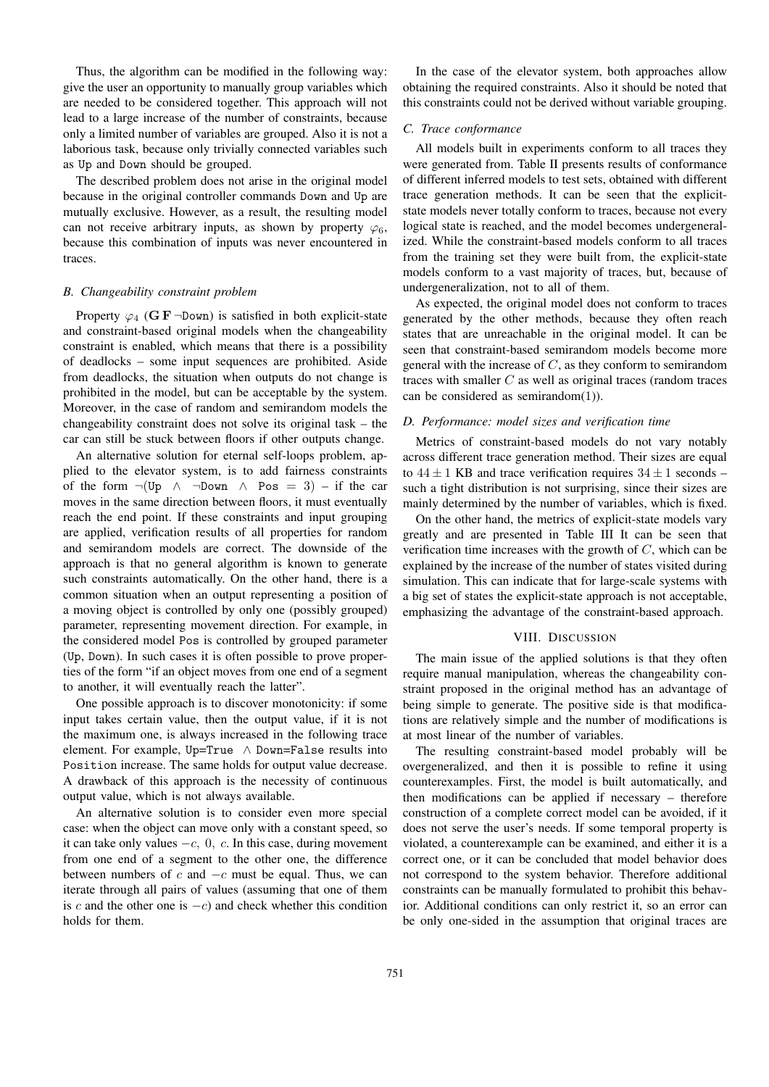Thus, the algorithm can be modified in the following way: give the user an opportunity to manually group variables which are needed to be considered together. This approach will not lead to a large increase of the number of constraints, because only a limited number of variables are grouped. Also it is not a laborious task, because only trivially connected variables such as Up and Down should be grouped.

The described problem does not arise in the original model because in the original controller commands Down and Up are mutually exclusive. However, as a result, the resulting model can not receive arbitrary inputs, as shown by property  $\varphi_6$ , because this combination of inputs was never encountered in traces.

# *B. Changeability constraint problem*

Property  $\varphi_4$  (G F  $\neg$ Down) is satisfied in both explicit-state and constraint-based original models when the changeability constraint is enabled, which means that there is a possibility of deadlocks – some input sequences are prohibited. Aside from deadlocks, the situation when outputs do not change is prohibited in the model, but can be acceptable by the system. Moreover, in the case of random and semirandom models the changeability constraint does not solve its original task – the car can still be stuck between floors if other outputs change.

An alternative solution for eternal self-loops problem, applied to the elevator system, is to add fairness constraints of the form  $\neg$ (Up  $\land \neg$ Down  $\land$  Pos = 3) – if the car moves in the same direction between floors, it must eventually reach the end point. If these constraints and input grouping are applied, verification results of all properties for random and semirandom models are correct. The downside of the approach is that no general algorithm is known to generate such constraints automatically. On the other hand, there is a common situation when an output representing a position of a moving object is controlled by only one (possibly grouped) parameter, representing movement direction. For example, in the considered model Pos is controlled by grouped parameter (Up, Down). In such cases it is often possible to prove properties of the form "if an object moves from one end of a segment to another, it will eventually reach the latter".

One possible approach is to discover monotonicity: if some input takes certain value, then the output value, if it is not the maximum one, is always increased in the following trace element. For example, Up=True  $\land$  Down=False results into Position increase. The same holds for output value decrease. A drawback of this approach is the necessity of continuous output value, which is not always available.

An alternative solution is to consider even more special case: when the object can move only with a constant speed, so it can take only values  $-c$ , 0, c. In this case, during movement from one end of a segment to the other one, the difference between numbers of c and  $-c$  must be equal. Thus, we can iterate through all pairs of values (assuming that one of them is c and the other one is  $-c$ ) and check whether this condition holds for them.

In the case of the elevator system, both approaches allow obtaining the required constraints. Also it should be noted that this constraints could not be derived without variable grouping.

## *C. Trace conformance*

All models built in experiments conform to all traces they were generated from. Table II presents results of conformance of different inferred models to test sets, obtained with different trace generation methods. It can be seen that the explicitstate models never totally conform to traces, because not every logical state is reached, and the model becomes undergeneralized. While the constraint-based models conform to all traces from the training set they were built from, the explicit-state models conform to a vast majority of traces, but, because of undergeneralization, not to all of them.

As expected, the original model does not conform to traces generated by the other methods, because they often reach states that are unreachable in the original model. It can be seen that constraint-based semirandom models become more general with the increase of C, as they conform to semirandom traces with smaller  $C$  as well as original traces (random traces can be considered as semirandom(1)).

## *D. Performance: model sizes and verification time*

Metrics of constraint-based models do not vary notably across different trace generation method. Their sizes are equal to  $44 \pm 1$  KB and trace verification requires  $34 \pm 1$  seconds – such a tight distribution is not surprising, since their sizes are mainly determined by the number of variables, which is fixed.

On the other hand, the metrics of explicit-state models vary greatly and are presented in Table III It can be seen that verification time increases with the growth of  $C$ , which can be explained by the increase of the number of states visited during simulation. This can indicate that for large-scale systems with a big set of states the explicit-state approach is not acceptable, emphasizing the advantage of the constraint-based approach.

## VIII. DISCUSSION

The main issue of the applied solutions is that they often require manual manipulation, whereas the changeability constraint proposed in the original method has an advantage of being simple to generate. The positive side is that modifications are relatively simple and the number of modifications is at most linear of the number of variables.

The resulting constraint-based model probably will be overgeneralized, and then it is possible to refine it using counterexamples. First, the model is built automatically, and then modifications can be applied if necessary – therefore construction of a complete correct model can be avoided, if it does not serve the user's needs. If some temporal property is violated, a counterexample can be examined, and either it is a correct one, or it can be concluded that model behavior does not correspond to the system behavior. Therefore additional constraints can be manually formulated to prohibit this behavior. Additional conditions can only restrict it, so an error can be only one-sided in the assumption that original traces are